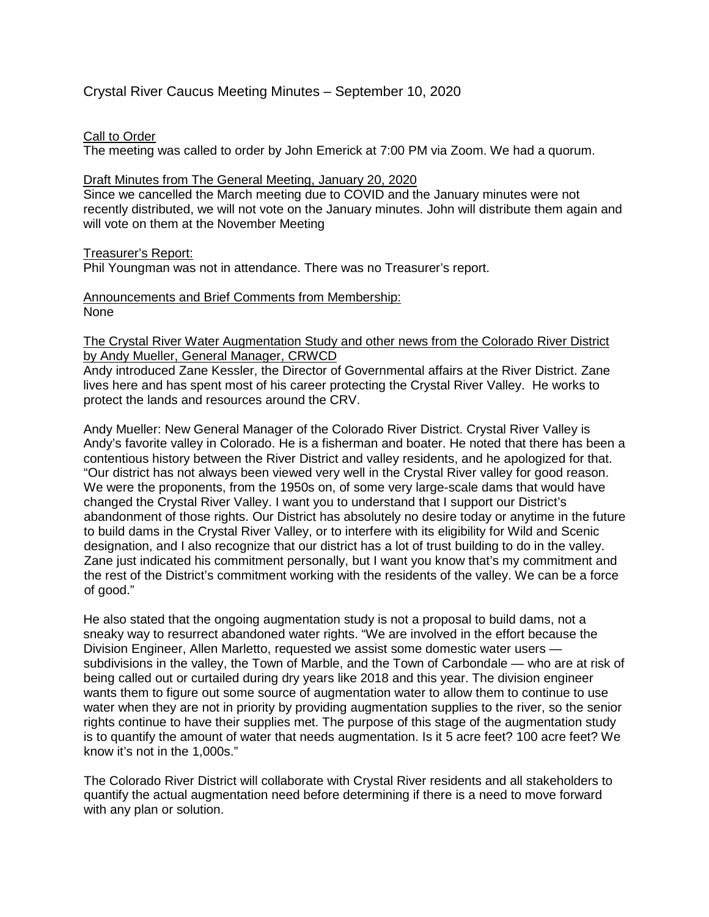# Crystal River Caucus Meeting Minutes – September 10, 2020

# Call to Order

The meeting was called to order by John Emerick at 7:00 PM via Zoom. We had a quorum.

## Draft Minutes from The General Meeting, January 20, 2020

Since we cancelled the March meeting due to COVID and the January minutes were not recently distributed, we will not vote on the January minutes. John will distribute them again and will vote on them at the November Meeting

# Treasurer's Report:

Phil Youngman was not in attendance. There was no Treasurer's report.

#### Announcements and Brief Comments from Membership: None

# The Crystal River Water Augmentation Study and other news from the Colorado River District by Andy Mueller, General Manager, CRWCD

Andy introduced Zane Kessler, the Director of Governmental affairs at the River District. Zane lives here and has spent most of his career protecting the Crystal River Valley. He works to protect the lands and resources around the CRV.

Andy Mueller: New General Manager of the Colorado River District. Crystal River Valley is Andy's favorite valley in Colorado. He is a fisherman and boater. He noted that there has been a contentious history between the River District and valley residents, and he apologized for that. "Our district has not always been viewed very well in the Crystal River valley for good reason. We were the proponents, from the 1950s on, of some very large-scale dams that would have changed the Crystal River Valley. I want you to understand that I support our District's abandonment of those rights. Our District has absolutely no desire today or anytime in the future to build dams in the Crystal River Valley, or to interfere with its eligibility for Wild and Scenic designation, and I also recognize that our district has a lot of trust building to do in the valley. Zane just indicated his commitment personally, but I want you know that's my commitment and the rest of the District's commitment working with the residents of the valley. We can be a force of good."

He also stated that the ongoing augmentation study is not a proposal to build dams, not a sneaky way to resurrect abandoned water rights. "We are involved in the effort because the Division Engineer, Allen Marletto, requested we assist some domestic water users subdivisions in the valley, the Town of Marble, and the Town of Carbondale — who are at risk of being called out or curtailed during dry years like 2018 and this year. The division engineer wants them to figure out some source of augmentation water to allow them to continue to use water when they are not in priority by providing augmentation supplies to the river, so the senior rights continue to have their supplies met. The purpose of this stage of the augmentation study is to quantify the amount of water that needs augmentation. Is it 5 acre feet? 100 acre feet? We know it's not in the 1,000s."

The Colorado River District will collaborate with Crystal River residents and all stakeholders to quantify the actual augmentation need before determining if there is a need to move forward with any plan or solution.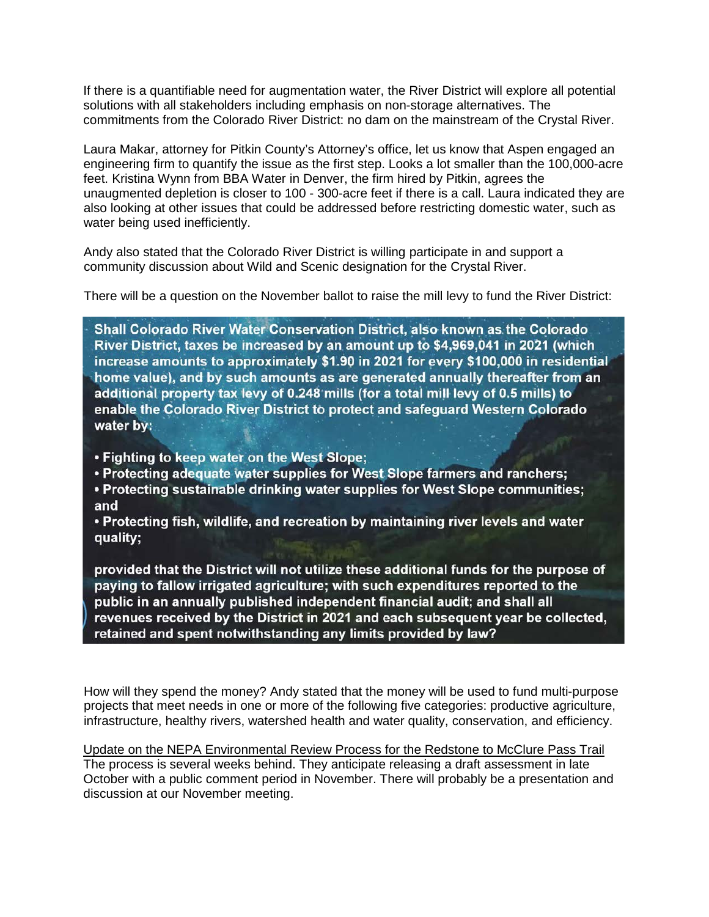If there is a quantifiable need for augmentation water, the River District will explore all potential solutions with all stakeholders including emphasis on non-storage alternatives. The commitments from the Colorado River District: no dam on the mainstream of the Crystal River.

Laura Makar, attorney for Pitkin County's Attorney's office, let us know that Aspen engaged an engineering firm to quantify the issue as the first step. Looks a lot smaller than the 100,000-acre feet. Kristina Wynn from BBA Water in Denver, the firm hired by Pitkin, agrees the unaugmented depletion is closer to 100 - 300-acre feet if there is a call. Laura indicated they are also looking at other issues that could be addressed before restricting domestic water, such as water being used inefficiently.

Andy also stated that the Colorado River District is willing participate in and support a community discussion about Wild and Scenic designation for the Crystal River.

There will be a question on the November ballot to raise the mill levy to fund the River District:

Shall Colorado River Water Conservation District, also known as the Colorado River District, taxes be increased by an amount up to \$4,969,041 in 2021 (which increase amounts to approximately \$1.90 in 2021 for every \$100,000 in residential home value), and by such amounts as are generated annually thereafter from an additional property tax levy of 0.248 mills (for a total mill levy of 0.5 mills) to enable the Colorado River District to protect and safeguard Western Colorado water by:

- Fighting to keep water on the West Slope;
- Protecting adequate water supplies for West Slope farmers and ranchers;
- Protecting sustainable drinking water supplies for West Slope communities; and

• Protecting fish, wildlife, and recreation by maintaining river levels and water quality;

provided that the District will not utilize these additional funds for the purpose of paying to fallow irrigated agriculture; with such expenditures reported to the public in an annually published independent financial audit; and shall all revenues received by the District in 2021 and each subsequent year be collected, retained and spent notwithstanding any limits provided by law?

How will they spend the money? Andy stated that the money will be used to fund multi-purpose projects that meet needs in one or more of the following five categories: productive agriculture, infrastructure, healthy rivers, watershed health and water quality, conservation, and efficiency.

Update on the NEPA Environmental Review Process for the Redstone to McClure Pass Trail The process is several weeks behind. They anticipate releasing a draft assessment in late October with a public comment period in November. There will probably be a presentation and discussion at our November meeting.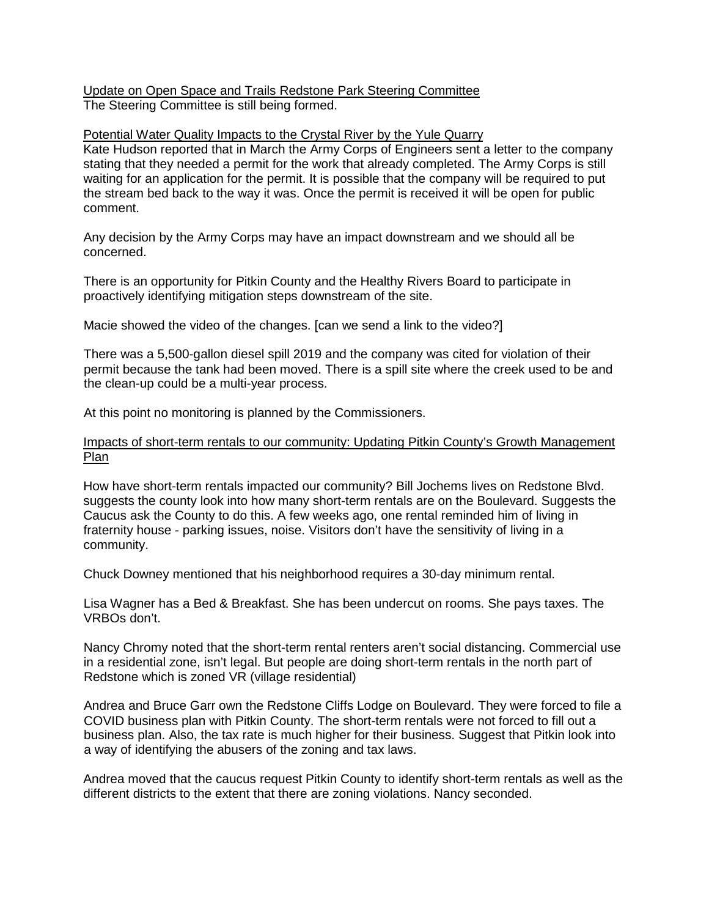Update on Open Space and Trails Redstone Park Steering Committee The Steering Committee is still being formed.

## Potential Water Quality Impacts to the Crystal River by the Yule Quarry

Kate Hudson reported that in March the Army Corps of Engineers sent a letter to the company stating that they needed a permit for the work that already completed. The Army Corps is still waiting for an application for the permit. It is possible that the company will be required to put the stream bed back to the way it was. Once the permit is received it will be open for public comment.

Any decision by the Army Corps may have an impact downstream and we should all be concerned.

There is an opportunity for Pitkin County and the Healthy Rivers Board to participate in proactively identifying mitigation steps downstream of the site.

Macie showed the video of the changes. [can we send a link to the video?]

There was a 5,500-gallon diesel spill 2019 and the company was cited for violation of their permit because the tank had been moved. There is a spill site where the creek used to be and the clean-up could be a multi-year process.

At this point no monitoring is planned by the Commissioners.

## Impacts of short-term rentals to our community: Updating Pitkin County's Growth Management Plan

How have short-term rentals impacted our community? Bill Jochems lives on Redstone Blvd. suggests the county look into how many short-term rentals are on the Boulevard. Suggests the Caucus ask the County to do this. A few weeks ago, one rental reminded him of living in fraternity house - parking issues, noise. Visitors don't have the sensitivity of living in a community.

Chuck Downey mentioned that his neighborhood requires a 30-day minimum rental.

Lisa Wagner has a Bed & Breakfast. She has been undercut on rooms. She pays taxes. The VRBOs don't.

Nancy Chromy noted that the short-term rental renters aren't social distancing. Commercial use in a residential zone, isn't legal. But people are doing short-term rentals in the north part of Redstone which is zoned VR (village residential)

Andrea and Bruce Garr own the Redstone Cliffs Lodge on Boulevard. They were forced to file a COVID business plan with Pitkin County. The short-term rentals were not forced to fill out a business plan. Also, the tax rate is much higher for their business. Suggest that Pitkin look into a way of identifying the abusers of the zoning and tax laws.

Andrea moved that the caucus request Pitkin County to identify short-term rentals as well as the different districts to the extent that there are zoning violations. Nancy seconded.